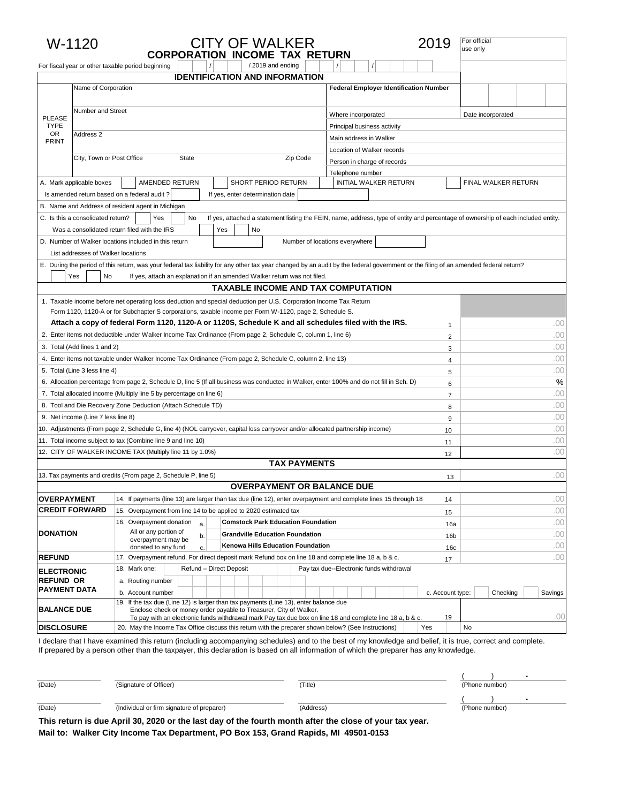|                                   | W-1120                             |                                                                                                                                                                                      | <b>CITY OF WALKER</b><br><b>CORPORATION INCOME TAX RETURN</b>                                                                     |                                                       | 2019             | For official<br>use only |                     |            |
|-----------------------------------|------------------------------------|--------------------------------------------------------------------------------------------------------------------------------------------------------------------------------------|-----------------------------------------------------------------------------------------------------------------------------------|-------------------------------------------------------|------------------|--------------------------|---------------------|------------|
|                                   |                                    | For fiscal year or other taxable period beginning                                                                                                                                    | /2019 and ending                                                                                                                  |                                                       |                  |                          |                     |            |
|                                   | Name of Corporation                |                                                                                                                                                                                      | <b>IDENTIFICATION AND INFORMATION</b>                                                                                             |                                                       |                  |                          |                     |            |
|                                   |                                    |                                                                                                                                                                                      |                                                                                                                                   | <b>Federal Employer Identification Number</b>         |                  |                          |                     |            |
|                                   | Number and Street                  |                                                                                                                                                                                      |                                                                                                                                   |                                                       |                  |                          |                     |            |
| <b>PLEASE</b>                     |                                    |                                                                                                                                                                                      |                                                                                                                                   | Where incorporated                                    |                  | Date incorporated        |                     |            |
| <b>TYPE</b><br>OR                 | Address <sub>2</sub>               |                                                                                                                                                                                      |                                                                                                                                   | Principal business activity<br>Main address in Walker |                  |                          |                     |            |
| <b>PRINT</b>                      |                                    |                                                                                                                                                                                      | Location of Walker records                                                                                                        |                                                       |                  |                          |                     |            |
|                                   | City, Town or Post Office          | State                                                                                                                                                                                | Person in charge of records                                                                                                       |                                                       |                  |                          |                     |            |
|                                   |                                    |                                                                                                                                                                                      |                                                                                                                                   | Telephone number                                      |                  |                          |                     |            |
|                                   | A. Mark applicable boxes           | AMENDED RETURN                                                                                                                                                                       | SHORT PERIOD RETURN                                                                                                               | INITIAL WALKER RETURN                                 |                  |                          | FINAL WALKER RETURN |            |
|                                   |                                    | Is amended return based on a federal audit?                                                                                                                                          | If yes, enter determination date                                                                                                  |                                                       |                  |                          |                     |            |
|                                   |                                    | B. Name and Address of resident agent in Michigan                                                                                                                                    |                                                                                                                                   |                                                       |                  |                          |                     |            |
|                                   | C. Is this a consolidated return?  | No<br>Yes                                                                                                                                                                            | If yes, attached a statement listing the FEIN, name, address, type of entity and percentage of ownership of each included entity. |                                                       |                  |                          |                     |            |
|                                   |                                    | Was a consolidated return filed with the IRS<br>Yes                                                                                                                                  | No                                                                                                                                |                                                       |                  |                          |                     |            |
|                                   |                                    | D. Number of Walker locations included in this return                                                                                                                                |                                                                                                                                   | Number of locations everywhere                        |                  |                          |                     |            |
|                                   | List addresses of Walker locations |                                                                                                                                                                                      |                                                                                                                                   |                                                       |                  |                          |                     |            |
|                                   |                                    | E. During the period of this return, was your federal tax liability for any other tax year changed by an audit by the federal government or the filing of an amended federal return? |                                                                                                                                   |                                                       |                  |                          |                     |            |
|                                   | Yes<br>No                          |                                                                                                                                                                                      | If yes, attach an explanation if an amended Walker return was not filed.                                                          |                                                       |                  |                          |                     |            |
|                                   |                                    |                                                                                                                                                                                      | <b>TAXABLE INCOME AND TAX COMPUTATION</b>                                                                                         |                                                       |                  |                          |                     |            |
|                                   |                                    | 1. Taxable income before net operating loss deduction and special deduction per U.S. Corporation Income Tax Return                                                                   |                                                                                                                                   |                                                       |                  |                          |                     |            |
|                                   |                                    | Form 1120, 1120-A or for Subchapter S corporations, taxable income per Form W-1120, page 2, Schedule S.                                                                              |                                                                                                                                   |                                                       |                  |                          |                     |            |
|                                   |                                    | Attach a copy of federal Form 1120, 1120-A or 1120S, Schedule K and all schedules filed with the IRS.                                                                                |                                                                                                                                   |                                                       | 1                |                          |                     | .00        |
|                                   |                                    | 2. Enter items not deductible under Walker Income Tax Ordinance (From page 2, Schedule C, column 1, line 6)                                                                          |                                                                                                                                   |                                                       | $\overline{2}$   |                          |                     | .00        |
| 3. Total (Add lines 1 and 2)<br>3 |                                    |                                                                                                                                                                                      |                                                                                                                                   |                                                       |                  |                          | .00                 |            |
|                                   |                                    | 4. Enter items not taxable under Walker Income Tax Ordinance (From page 2, Schedule C, column 2, line 13)                                                                            |                                                                                                                                   |                                                       | 4                |                          |                     | .00        |
|                                   | 5. Total (Line 3 less line 4)      |                                                                                                                                                                                      |                                                                                                                                   |                                                       | 5                |                          |                     | .00        |
|                                   |                                    | 6. Allocation percentage from page 2, Schedule D, line 5 (If all business was conducted in Walker, enter 100% and do not fill in Sch. D)                                             |                                                                                                                                   |                                                       | 6                |                          |                     | %          |
|                                   |                                    | 7. Total allocated income (Multiply line 5 by percentage on line 6)<br>8. Tool and Die Recovery Zone Deduction (Attach Schedule TD)                                                  |                                                                                                                                   |                                                       | $\overline{7}$   |                          |                     | .00<br>.00 |
|                                   | 9. Net income (Line 7 less line 8) |                                                                                                                                                                                      |                                                                                                                                   |                                                       | 8                |                          |                     | .00        |
|                                   |                                    | 10. Adjustments (From page 2, Schedule G, line 4) (NOL carryover, capital loss carryover and/or allocated partnership income)                                                        |                                                                                                                                   |                                                       | 9                |                          |                     | .00        |
|                                   |                                    | 11. Total income subject to tax (Combine line 9 and line 10)                                                                                                                         |                                                                                                                                   |                                                       | 10               |                          |                     | .00        |
|                                   |                                    | 12. CITY OF WALKER INCOME TAX (Multiply line 11 by 1.0%)                                                                                                                             |                                                                                                                                   |                                                       | 11               | .00                      |                     |            |
|                                   |                                    |                                                                                                                                                                                      | <b>TAX PAYMENTS</b>                                                                                                               |                                                       | 12               |                          |                     |            |
|                                   |                                    | 13. Tax payments and credits (From page 2, Schedule P, line 5)                                                                                                                       |                                                                                                                                   |                                                       | 13               |                          |                     | .00        |
|                                   |                                    |                                                                                                                                                                                      | <b>OVERPAYMENT OR BALANCE DUE</b>                                                                                                 |                                                       |                  |                          |                     |            |
| <b>OVERPAYMENT</b>                |                                    | 14. If payments (line 13) are larger than tax due (line 12), enter overpayment and complete lines 15 through 18                                                                      |                                                                                                                                   |                                                       | 14               |                          |                     | .00        |
|                                   | <b>CREDIT FORWARD</b>              | 15. Overpayment from line 14 to be applied to 2020 estimated tax                                                                                                                     |                                                                                                                                   |                                                       | 15               |                          |                     | .00        |
|                                   |                                    | 16. Overpayment donation<br>a.                                                                                                                                                       | <b>Comstock Park Education Foundation</b>                                                                                         |                                                       | 16a              |                          |                     | .00        |
| <b>DONATION</b>                   |                                    | All or any portion of<br>b.                                                                                                                                                          | <b>Grandville Education Foundation</b>                                                                                            |                                                       | 16 <sub>b</sub>  |                          |                     | .00        |
|                                   |                                    | overpayment may be<br>donated to any fund<br>C.                                                                                                                                      | Kenowa Hills Education Foundation                                                                                                 |                                                       | 16 <sub>c</sub>  |                          |                     | .00        |
| <b>REFUND</b>                     |                                    | 17. Overpayment refund. For direct deposit mark Refund box on line 18 and complete line 18 a, b & c.                                                                                 |                                                                                                                                   |                                                       | 17               |                          |                     | .00        |
| <b>ELECTRONIC</b>                 |                                    | 18. Mark one:<br>Refund - Direct Deposit                                                                                                                                             |                                                                                                                                   | Pay tax due--Electronic funds withdrawal              |                  |                          |                     |            |
| <b>REFUND OR</b>                  |                                    | a. Routing number                                                                                                                                                                    |                                                                                                                                   |                                                       |                  |                          |                     |            |
| <b>PAYMENT DATA</b>               |                                    | b. Account number                                                                                                                                                                    |                                                                                                                                   |                                                       | c. Account type: |                          | Checking            | Savings    |
| <b>BALANCE DUE</b>                |                                    | 19. If the tax due (Line 12) is larger than tax payments (Line 13), enter balance due                                                                                                | Enclose check or money order payable to Treasurer, City of Walker.                                                                |                                                       |                  |                          |                     |            |
|                                   |                                    |                                                                                                                                                                                      | To pay with an electronic funds withdrawal mark Pay tax due box on line 18 and complete line 18 a, b & c.                         |                                                       | 19               |                          |                     | .OC        |
| <b>DISCLOSURE</b>                 |                                    | 20. May the Income Tax Office discuss this return with the preparer shown below? (See Instructions)                                                                                  |                                                                                                                                   |                                                       | Yes              | No                       |                     |            |

I declare that I have examined this return (including accompanying schedules) and to the best of my knowledge and belief, it is true, correct and complete. If prepared by a person other than the taxpayer, this declaration is based on all information of which the preparer has any knowledge.

| (Date) | (Signature of Officer)                                                                                                                    | 'Title)   | (Phone number) |  |  |
|--------|-------------------------------------------------------------------------------------------------------------------------------------------|-----------|----------------|--|--|
|        |                                                                                                                                           |           |                |  |  |
| (Date) | (Individual or firm signature of preparer)                                                                                                | (Address) | (Phone number) |  |  |
| ---    | $\mathbf{u}$ as a set of $\mathbf{u}$ and $\mathbf{u}$ as $\mathbf{u}$ as $\mathbf{u}$ and $\mathbf{u}$ and $\mathbf{u}$ and $\mathbf{u}$ |           |                |  |  |

**This return is due April 30, 2020 or the last day of the fourth month after the close of your tax year. Mail to: Walker City Income Tax Department, PO Box 153, Grand Rapids, MI 49501-0153**